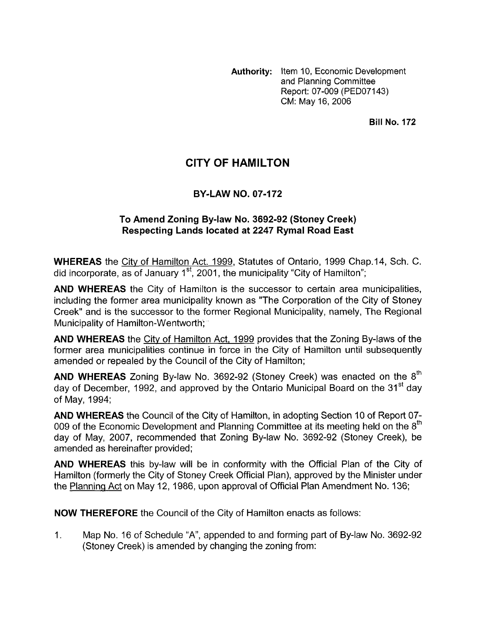**Authority:** Item 10, Economic Development and Planning Committee Report: 07-009 (PED07143) CM: May 16,2006

**Bill No. 172** 

# **CITY OF HAMILTON**

### **BY-LAW NO. 07-172**

### **To Amend Zoning By-law No. 3692-92 (Stoney Creek) Respecting Lands located at 2247 Rymal Road East**

**WHEREAS** the City of Hamilton Act. 1999, Statutes of Ontario, 1999 Chap.14, Sch. C. did incorporate, as of January 1<sup>st</sup>, 2001, the municipality "City of Hamilton";

**AND WHEREAS** the City of Hamilton is the successor to certain area municipalities, including the former area municipality known as "The Corporation of the City of Stoney Creek'' and is the successor to the former Regional Municipality, namely, The Regional Municipality of Hamilton-Wentworth;

**AND WHEREAS** the City of Hamilton Act, 1999 provides that the Zoning By-laws of the former area municipalities continue in force in the City of Hamilton until subsequently amended or repealed by the Council of the City of Hamilton;

**AND WHEREAS** Zoning By-law No. 3692-92 (Stoney Creek) was enacted on the 8<sup>th</sup> day of December, 1992, and approved by the Ontario Municipal Board on the 31<sup>st</sup> day of May, 1994;

**AND WHEREAS** the Council of the City of Hamilton, in adopting Section 10 of Report 07- 009 of the Economic Development and Planning Committee at its meeting held on the  $8<sup>th</sup>$ day of May, 2007, recommended that Zoning By-law No. 3692-92 (Stoney Creek), be amended as hereinafter provided;

**AND WHEREAS** this by-law will be in conformity with the Official Plan of the City of Hamilton (formerly the City of Stoney Creek Official Plan), approved by the Minister under the Planning Act on May 12, 1986, upon approval of Official Plan Amendment No. 136;

**NOW THEREFORE** the Council of the City of Hamilton enacts as follows:

1. Map No. 16 of Schedule "A", appended to and forming part of By-law No. 3692-92 (Stoney Creek) is amended by changing the zoning from: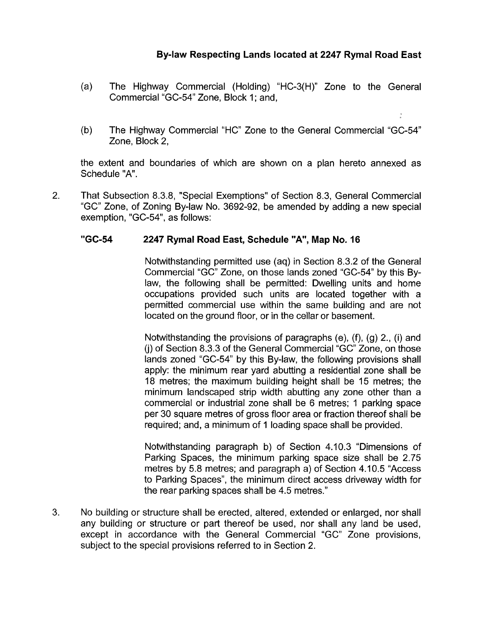### **Bylaw Respecting Lands located at 2247 Rymal Road East**

- (a) The Highway Commercial (Holding) "HC-3(H)" Zone to the General Commercial "GC-54" Zone, Block 1; and,
- (b) The Highway Commercial "HC" Zone to the General Commercial "GC-54" Zone, Block 2,

the extent and boundaries of which are shown on a plan hereto annexed as Schedule "A".

2. That Subsection 8.3.8, "Special Exemptions" of Section 8.3, General Commercial "GC" Zone, of Zoning By-law No. 3692-92, be amended by adding a new special exemption, "GC-54", as follows:

#### **"GC-54 2247 Rymal Road East, Schedule** "A", **Map No. 16**

Notwithstanding permitted use (aq) in Section 8.3.2 of the General Commercial "GC" Zone, on those lands zoned "GC-54" by this Bylaw, the following shall be permitted: Dwelling units and home occupations provided such units are located together with a permitted commercial use within the same building and are not located on the ground floor, or in the cellar or basement.

Notwithstanding the provisions of paragraphs (e), (f), (9) 2., (i) and (j) of Section 8.3.3 of the General Commercial "GC" Zone, on those lands zoned "GC-54" by this By-law, the following provisions shall apply: the minimum rear yard abutting a residential zone shall be 18 metres; the maximum building height shall be 15 metres; the minimum landscaped strip width abutting any zone other than a commercial or industrial zone shall be 6 metres; 1 parking space per 30 square metres of gross floor area or fraction thereof shall be required; and, a minimum of 1 loading space shall be provided.

Notwithstanding paragraph b) of Section 4.10.3 "Dimensions of Parking Spaces, the minimum parking space size shall be 2.75 metres by 5.8 metres; and paragraph a) of Section 4.10.5 "Access to Parking Spaces", the minimum direct access driveway width for the rear parking spaces shall be 4.5 metres."

3. No building or structure shall be erected, altered, extended or enlarged, nor shall any building or structure or part thereof be used, nor shall any land be used, except in accordance with the General Commercial "GC" Zone provisions, subject to the special provisions referred to in Section 2.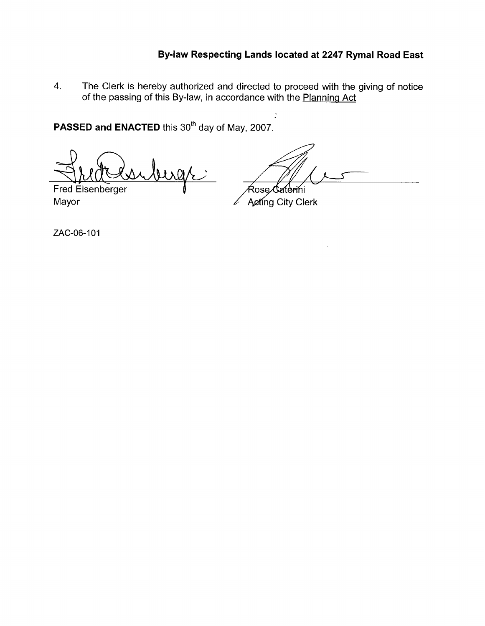## **Bylaw Respecting Lands located at 2247 Rymal Road East**

**4.** The Clerk is hereby authorized and directed to proceed with the giving of notice of the passing of this By-law, in accordance with the Planninq Act

**PASSED and ENACTED** this 30<sup>th</sup> day of May, 2007.

ress *-.I*  Fred Eisenberger

Fred Eisenberger **I**<br>Mayor *Letting City Clerk* 

 $\frac{1}{2}$ 

ZAC-06-101